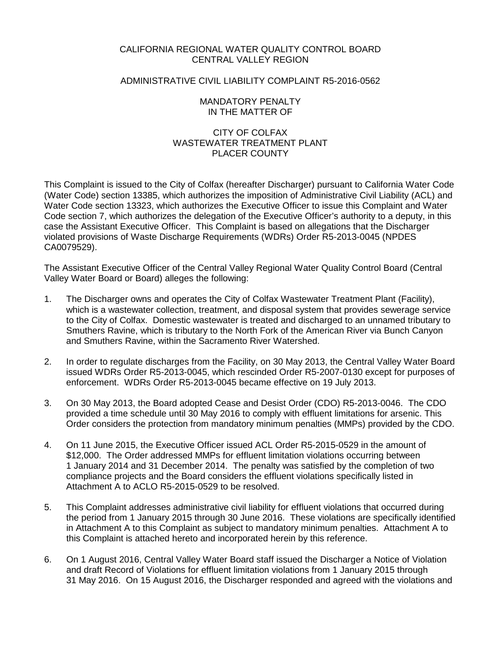## CALIFORNIA REGIONAL WATER QUALITY CONTROL BOARD CENTRAL VALLEY REGION

## ADMINISTRATIVE CIVIL LIABILITY COMPLAINT R5-2016-0562

### MANDATORY PENALTY IN THE MATTER OF

## CITY OF COLFAX WASTEWATER TREATMENT PLANT PLACER COUNTY

This Complaint is issued to the City of Colfax (hereafter Discharger) pursuant to California Water Code (Water Code) section 13385, which authorizes the imposition of Administrative Civil Liability (ACL) and Water Code section 13323, which authorizes the Executive Officer to issue this Complaint and Water Code section 7, which authorizes the delegation of the Executive Officer's authority to a deputy, in this case the Assistant Executive Officer. This Complaint is based on allegations that the Discharger violated provisions of Waste Discharge Requirements (WDRs) Order R5-2013-0045 (NPDES CA0079529).

The Assistant Executive Officer of the Central Valley Regional Water Quality Control Board (Central Valley Water Board or Board) alleges the following:

- 1. The Discharger owns and operates the City of Colfax Wastewater Treatment Plant (Facility), which is a wastewater collection, treatment, and disposal system that provides sewerage service to the City of Colfax. Domestic wastewater is treated and discharged to an unnamed tributary to Smuthers Ravine, which is tributary to the North Fork of the American River via Bunch Canyon and Smuthers Ravine, within the Sacramento River Watershed.
- 2. In order to regulate discharges from the Facility, on 30 May 2013, the Central Valley Water Board issued WDRs Order R5-2013-0045, which rescinded Order R5-2007-0130 except for purposes of enforcement. WDRs Order R5-2013-0045 became effective on 19 July 2013.
- 3. On 30 May 2013, the Board adopted Cease and Desist Order (CDO) R5-2013-0046. The CDO provided a time schedule until 30 May 2016 to comply with effluent limitations for arsenic. This Order considers the protection from mandatory minimum penalties (MMPs) provided by the CDO.
- 4. On 11 June 2015, the Executive Officer issued ACL Order R5-2015-0529 in the amount of \$12,000. The Order addressed MMPs for effluent limitation violations occurring between 1 January 2014 and 31 December 2014. The penalty was satisfied by the completion of two compliance projects and the Board considers the effluent violations specifically listed in Attachment A to ACLO R5-2015-0529 to be resolved.
- 5. This Complaint addresses administrative civil liability for effluent violations that occurred during the period from 1 January 2015 through 30 June 2016. These violations are specifically identified in Attachment A to this Complaint as subject to mandatory minimum penalties. Attachment A to this Complaint is attached hereto and incorporated herein by this reference.
- 6. On 1 August 2016, Central Valley Water Board staff issued the Discharger a Notice of Violation and draft Record of Violations for effluent limitation violations from 1 January 2015 through 31 May 2016. On 15 August 2016, the Discharger responded and agreed with the violations and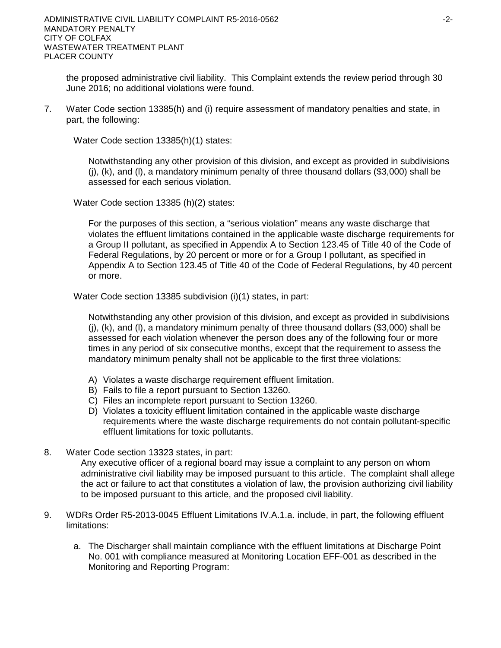the proposed administrative civil liability. This Complaint extends the review period through 30 June 2016; no additional violations were found.

7. Water Code section 13385(h) and (i) require assessment of mandatory penalties and state, in part, the following:

Water Code section 13385(h)(1) states:

Notwithstanding any other provision of this division, and except as provided in subdivisions (j), (k), and (l), a mandatory minimum penalty of three thousand dollars (\$3,000) shall be assessed for each serious violation.

Water Code section 13385 (h)(2) states:

For the purposes of this section, a "serious violation" means any waste discharge that violates the effluent limitations contained in the applicable waste discharge requirements for a Group II pollutant, as specified in Appendix A to Section 123.45 of Title 40 of the Code of Federal Regulations, by 20 percent or more or for a Group I pollutant, as specified in Appendix A to Section 123.45 of Title 40 of the Code of Federal Regulations, by 40 percent or more.

Water Code section 13385 subdivision (i)(1) states, in part:

Notwithstanding any other provision of this division, and except as provided in subdivisions  $(i)$ ,  $(k)$ , and  $(l)$ , a mandatory minimum penalty of three thousand dollars (\$3,000) shall be assessed for each violation whenever the person does any of the following four or more times in any period of six consecutive months, except that the requirement to assess the mandatory minimum penalty shall not be applicable to the first three violations:

- A) Violates a waste discharge requirement effluent limitation.
- B) Fails to file a report pursuant to Section 13260.
- C) Files an incomplete report pursuant to Section 13260.
- D) Violates a toxicity effluent limitation contained in the applicable waste discharge requirements where the waste discharge requirements do not contain pollutant-specific effluent limitations for toxic pollutants.
- 8. Water Code section 13323 states, in part:

Any executive officer of a regional board may issue a complaint to any person on whom administrative civil liability may be imposed pursuant to this article. The complaint shall allege the act or failure to act that constitutes a violation of law, the provision authorizing civil liability to be imposed pursuant to this article, and the proposed civil liability.

- 9. WDRs Order R5-2013-0045 Effluent Limitations IV.A.1.a. include, in part, the following effluent limitations:
	- a. The Discharger shall maintain compliance with the effluent limitations at Discharge Point No. 001 with compliance measured at Monitoring Location EFF-001 as described in the Monitoring and Reporting Program: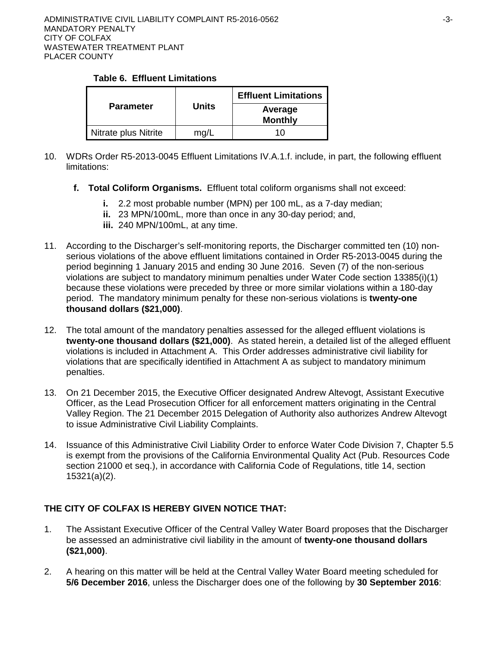### **Table 6. Effluent Limitations**

|                      |       | <b>Effluent Limitations</b> |  |  |
|----------------------|-------|-----------------------------|--|--|
| <b>Parameter</b>     | Units | Average<br><b>Monthly</b>   |  |  |
| Nitrate plus Nitrite | mq/L  | 10.                         |  |  |

- 10. WDRs Order R5-2013-0045 Effluent Limitations IV.A.1.f. include, in part, the following effluent limitations:
	- **f. Total Coliform Organisms.** Effluent total coliform organisms shall not exceed:
		- **i.** 2.2 most probable number (MPN) per 100 mL, as a 7-day median;
		- **ii.** 23 MPN/100mL, more than once in any 30-day period; and,
		- **iii.** 240 MPN/100mL, at any time.
- 11. According to the Discharger's self-monitoring reports, the Discharger committed ten (10) nonserious violations of the above effluent limitations contained in Order R5-2013-0045 during the period beginning 1 January 2015 and ending 30 June 2016. Seven (7) of the non-serious violations are subject to mandatory minimum penalties under Water Code section 13385(i)(1) because these violations were preceded by three or more similar violations within a 180-day period. The mandatory minimum penalty for these non-serious violations is **twenty-one thousand dollars (\$21,000)**.
- 12. The total amount of the mandatory penalties assessed for the alleged effluent violations is **twenty-one thousand dollars (\$21,000)**.As stated herein, a detailed list of the alleged effluent violations is included in Attachment A. This Order addresses administrative civil liability for violations that are specifically identified in Attachment A as subject to mandatory minimum penalties.
- 13. On 21 December 2015, the Executive Officer designated Andrew Altevogt, Assistant Executive Officer, as the Lead Prosecution Officer for all enforcement matters originating in the Central Valley Region. The 21 December 2015 Delegation of Authority also authorizes Andrew Altevogt to issue Administrative Civil Liability Complaints.
- 14. Issuance of this Administrative Civil Liability Order to enforce Water Code Division 7, Chapter 5.5 is exempt from the provisions of the California Environmental Quality Act (Pub. Resources Code section 21000 et seq.), in accordance with California Code of Regulations, title 14, section 15321(a)(2).

# **THE CITY OF COLFAX IS HEREBY GIVEN NOTICE THAT:**

- 1. The Assistant Executive Officer of the Central Valley Water Board proposes that the Discharger be assessed an administrative civil liability in the amount of **twenty-one thousand dollars (\$21,000)**.
- 2. A hearing on this matter will be held at the Central Valley Water Board meeting scheduled for **5/6 December 2016**, unless the Discharger does one of the following by **30 September 2016**: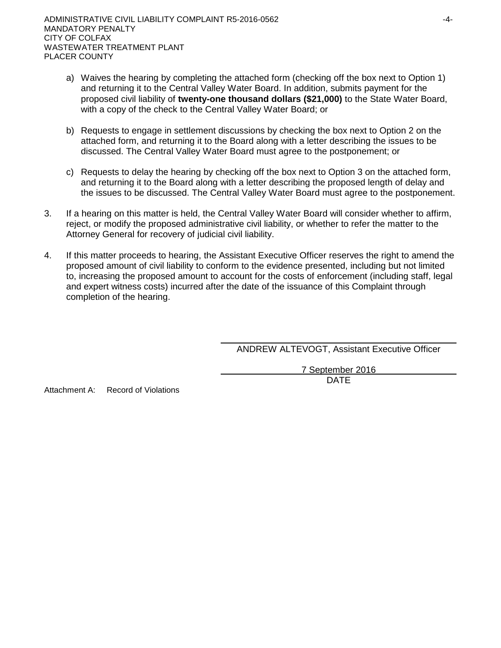- a) Waives the hearing by completing the attached form (checking off the box next to Option 1) and returning it to the Central Valley Water Board. In addition, submits payment for the proposed civil liability of **twenty-one thousand dollars (\$21,000)** to the State Water Board, with a copy of the check to the Central Valley Water Board; or
- b) Requests to engage in settlement discussions by checking the box next to Option 2 on the attached form, and returning it to the Board along with a letter describing the issues to be discussed. The Central Valley Water Board must agree to the postponement; or
- c) Requests to delay the hearing by checking off the box next to Option 3 on the attached form, and returning it to the Board along with a letter describing the proposed length of delay and the issues to be discussed. The Central Valley Water Board must agree to the postponement.
- 3. If a hearing on this matter is held, the Central Valley Water Board will consider whether to affirm, reject, or modify the proposed administrative civil liability, or whether to refer the matter to the Attorney General for recovery of judicial civil liability.
- 4. If this matter proceeds to hearing, the Assistant Executive Officer reserves the right to amend the proposed amount of civil liability to conform to the evidence presented, including but not limited to, increasing the proposed amount to account for the costs of enforcement (including staff, legal and expert witness costs) incurred after the date of the issuance of this Complaint through completion of the hearing.

ANDREW ALTEVOGT, Assistant Executive Officer

7 September 2016 DATE

Attachment A: Record of Violations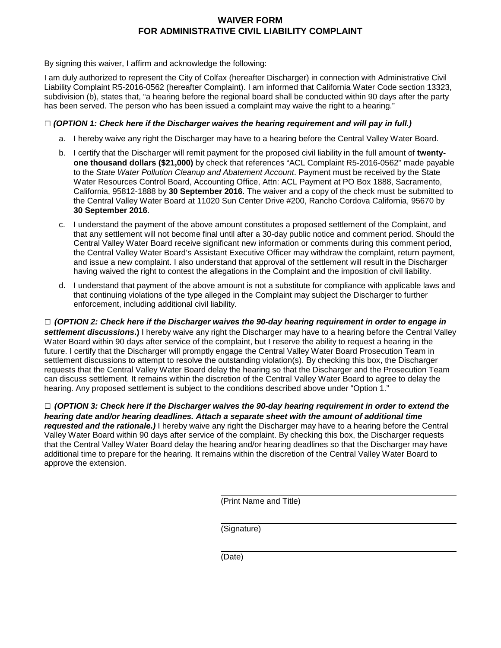## **WAIVER FORM FOR ADMINISTRATIVE CIVIL LIABILITY COMPLAINT**

By signing this waiver, I affirm and acknowledge the following:

I am duly authorized to represent the City of Colfax (hereafter Discharger) in connection with Administrative Civil Liability Complaint R5-2016-0562 (hereafter Complaint). I am informed that California Water Code section 13323, subdivision (b), states that, "a hearing before the regional board shall be conducted within 90 days after the party has been served. The person who has been issued a complaint may waive the right to a hearing."

### **□** *(OPTION 1: Check here if the Discharger waives the hearing requirement and will pay in full.)*

- a. I hereby waive any right the Discharger may have to a hearing before the Central Valley Water Board.
- b. I certify that the Discharger will remit payment for the proposed civil liability in the full amount of **twentyone thousand dollars (\$21,000)** by check that references "ACL Complaint R5-2016-0562" made payable to the *State Water Pollution Cleanup and Abatement Account*. Payment must be received by the State Water Resources Control Board, Accounting Office, Attn: ACL Payment at PO Box 1888, Sacramento, California, 95812-1888 by **30 September 2016**. The waiver and a copy of the check must be submitted to the Central Valley Water Board at 11020 Sun Center Drive #200, Rancho Cordova California, 95670 by **30 September 2016**.
- c. I understand the payment of the above amount constitutes a proposed settlement of the Complaint, and that any settlement will not become final until after a 30-day public notice and comment period. Should the Central Valley Water Board receive significant new information or comments during this comment period, the Central Valley Water Board's Assistant Executive Officer may withdraw the complaint, return payment, and issue a new complaint. I also understand that approval of the settlement will result in the Discharger having waived the right to contest the allegations in the Complaint and the imposition of civil liability.
- d. I understand that payment of the above amount is not a substitute for compliance with applicable laws and that continuing violations of the type alleged in the Complaint may subject the Discharger to further enforcement, including additional civil liability.

**□** *(OPTION 2: Check here if the Discharger waives the 90-day hearing requirement in order to engage in settlement discussions***.)** I hereby waive any right the Discharger may have to a hearing before the Central Valley Water Board within 90 days after service of the complaint, but I reserve the ability to request a hearing in the future. I certify that the Discharger will promptly engage the Central Valley Water Board Prosecution Team in settlement discussions to attempt to resolve the outstanding violation(s). By checking this box, the Discharger requests that the Central Valley Water Board delay the hearing so that the Discharger and the Prosecution Team can discuss settlement. It remains within the discretion of the Central Valley Water Board to agree to delay the hearing. Any proposed settlement is subject to the conditions described above under "Option 1."

**□** *(OPTION 3: Check here if the Discharger waives the 90-day hearing requirement in order to extend the hearing date and/or hearing deadlines. Attach a separate sheet with the amount of additional time requested and the rationale.)* I hereby waive any right the Discharger may have to a hearing before the Central Valley Water Board within 90 days after service of the complaint. By checking this box, the Discharger requests that the Central Valley Water Board delay the hearing and/or hearing deadlines so that the Discharger may have additional time to prepare for the hearing. It remains within the discretion of the Central Valley Water Board to approve the extension.

(Print Name and Title)

(Signature)

(Date)